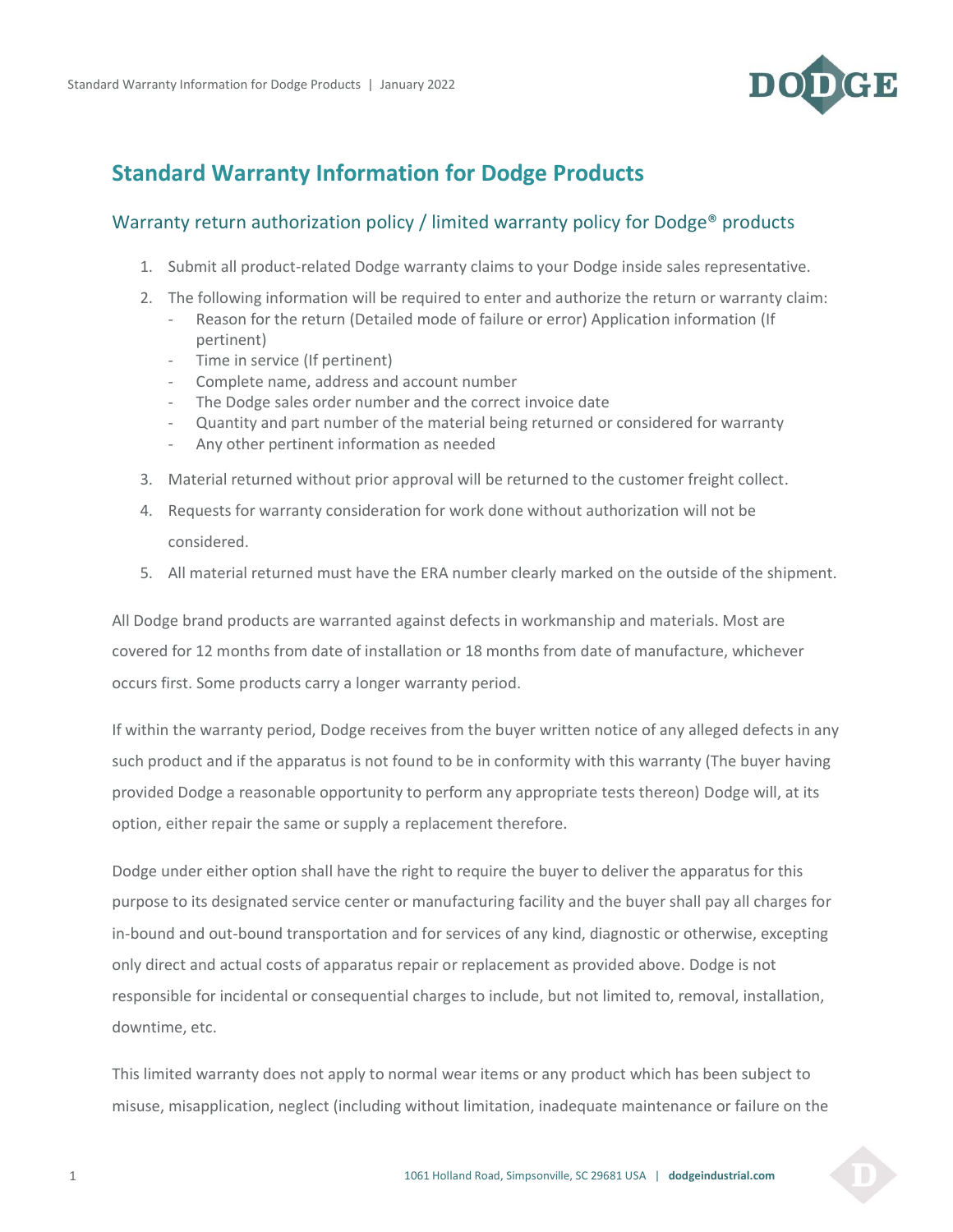

## **Standard Warranty Information for Dodge Products**

## Warranty return authorization policy / limited warranty policy for Dodge® products

- 1. Submit all product-related Dodge warranty claims to your Dodge inside sales representative.
- 2. The following information will be required to enter and authorize the return or warranty claim:
	- Reason for the return (Detailed mode of failure or error) Application information (If pertinent)
	- Time in service (If pertinent)
	- Complete name, address and account number
	- The Dodge sales order number and the correct invoice date
	- Quantity and part number of the material being returned or considered for warranty
	- Any other pertinent information as needed
- 3. Material returned without prior approval will be returned to the customer freight collect.
- 4. Requests for warranty consideration for work done without authorization will not be considered.
- 5. All material returned must have the ERA number clearly marked on the outside of the shipment.

All Dodge brand products are warranted against defects in workmanship and materials. Most are covered for 12 months from date of installation or 18 months from date of manufacture, whichever occurs first. Some products carry a longer warranty period.

If within the warranty period, Dodge receives from the buyer written notice of any alleged defects in any such product and if the apparatus is not found to be in conformity with this warranty (The buyer having provided Dodge a reasonable opportunity to perform any appropriate tests thereon) Dodge will, at its option, either repair the same or supply a replacement therefore.

Dodge under either option shall have the right to require the buyer to deliver the apparatus for this purpose to its designated service center or manufacturing facility and the buyer shall pay all charges for in-bound and out-bound transportation and for services of any kind, diagnostic or otherwise, excepting only direct and actual costs of apparatus repair or replacement as provided above. Dodge is not responsible for incidental or consequential charges to include, but not limited to, removal, installation, downtime, etc.

This limited warranty does not apply to normal wear items or any product which has been subject to misuse, misapplication, neglect (including without limitation, inadequate maintenance or failure on the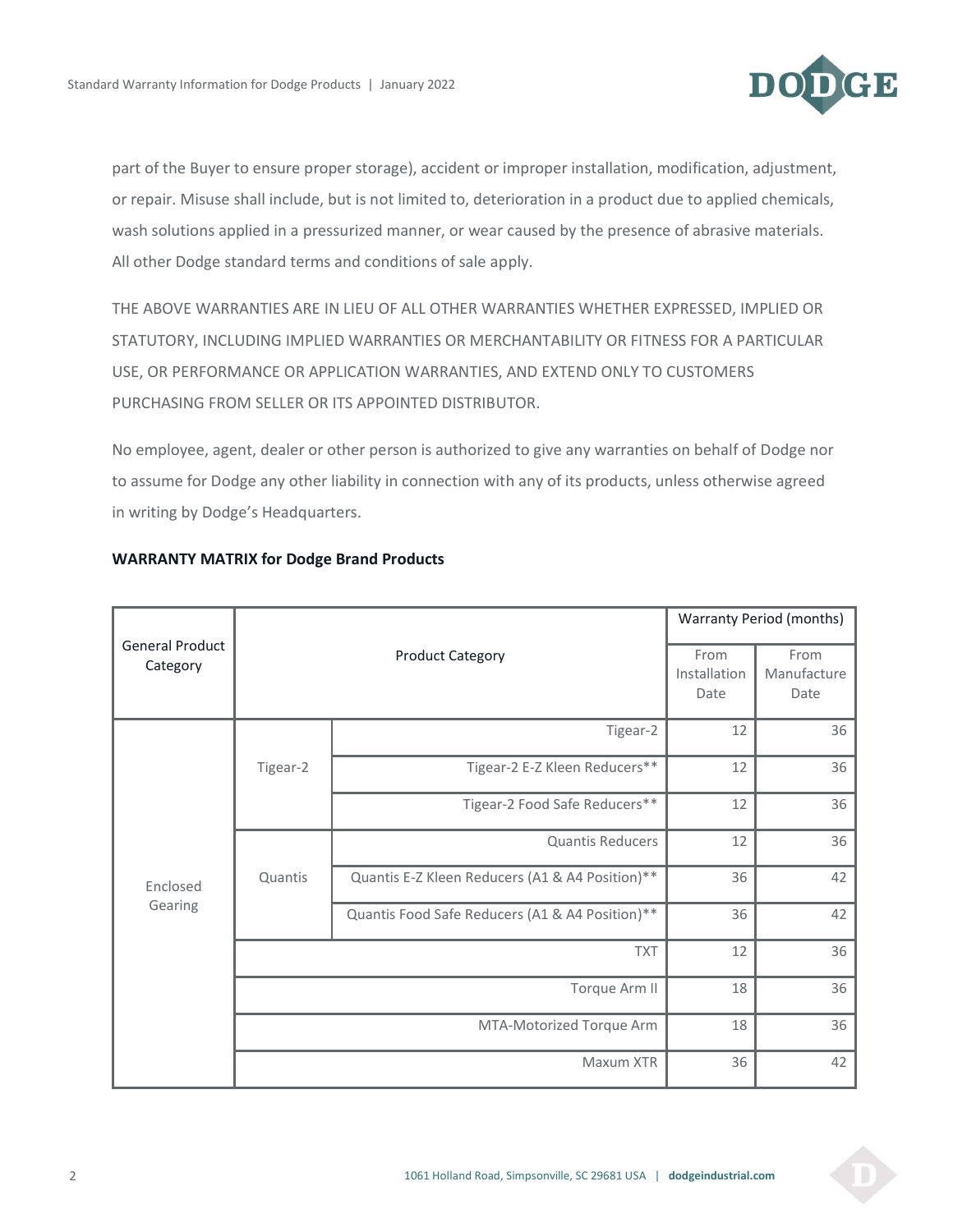

part of the Buyer to ensure proper storage), accident or improper installation, modification, adjustment, or repair. Misuse shall include, but is not limited to, deterioration in a product due to applied chemicals, wash solutions applied in a pressurized manner, or wear caused by the presence of abrasive materials. All other Dodge standard terms and conditions of sale apply.

THE ABOVE WARRANTIES ARE IN LIEU OF ALL OTHER WARRANTIES WHETHER EXPRESSED, IMPLIED OR STATUTORY, INCLUDING IMPLIED WARRANTIES OR MERCHANTABILITY OR FITNESS FOR A PARTICULAR USE, OR PERFORMANCE OR APPLICATION WARRANTIES, AND EXTEND ONLY TO CUSTOMERS PURCHASING FROM SELLER OR ITS APPOINTED DISTRIBUTOR.

No employee, agent, dealer or other person is authorized to give any warranties on behalf of Dodge nor to assume for Dodge any other liability in connection with any of its products, unless otherwise agreed in writing by Dodge's Headquarters.

| <b>General Product</b><br>Category | <b>Product Category</b>  |                                                 | Warranty Period (months)     |                             |
|------------------------------------|--------------------------|-------------------------------------------------|------------------------------|-----------------------------|
|                                    |                          |                                                 | From<br>Installation<br>Date | From<br>Manufacture<br>Date |
| Enclosed<br>Gearing                | Tigear-2                 | Tigear-2                                        | 12                           | 36                          |
|                                    |                          | Tigear-2 E-Z Kleen Reducers**                   | 12                           | 36                          |
|                                    |                          | Tigear-2 Food Safe Reducers**                   | 12                           | 36                          |
|                                    | Quantis                  | Quantis Reducers                                | 12                           | 36                          |
|                                    |                          | Quantis E-Z Kleen Reducers (A1 & A4 Position)** | 36                           | 42                          |
|                                    |                          | Quantis Food Safe Reducers (A1 & A4 Position)** | 36                           | 42                          |
|                                    | <b>TXT</b>               |                                                 | 12                           | 36                          |
|                                    | Torque Arm II            |                                                 | 18                           | 36                          |
|                                    | MTA-Motorized Torque Arm |                                                 | 18                           | 36                          |
|                                    | Maxum XTR                |                                                 | 36                           | 42                          |

## **WARRANTY MATRIX for Dodge Brand Products**